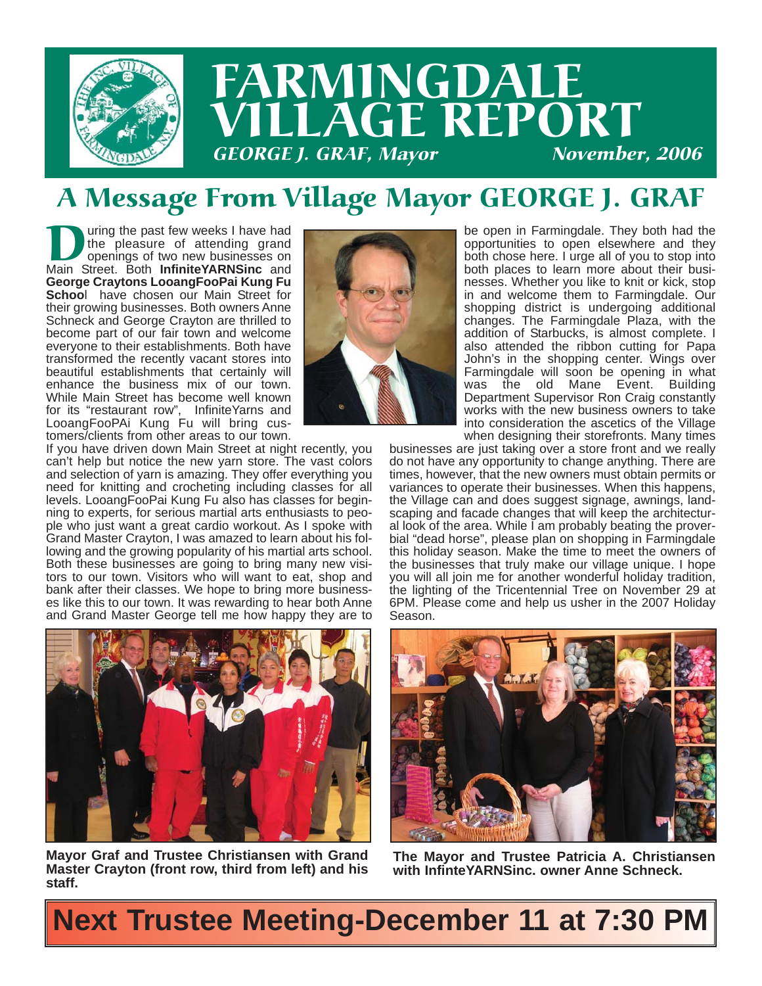

# FARMINGDALE LAGE REPORT **GEORGE J. GRAF, Mayor**

### A Message From Village Mayor GEORGE J. GRAF

The past few weeks I have had the pleasure of attending grand openings of two new businesses on Main Street. Both Infinite YARNSinc and the pleasure of attending grand openings of two new businesses on Main Street. Both **InfiniteYARNSinc** and **George Craytons LooangFooPai Kung Fu Schoo**l have chosen our Main Street for their growing businesses. Both owners Anne Schneck and George Crayton are thrilled to become part of our fair town and welcome everyone to their establishments. Both have transformed the recently vacant stores into beautiful establishments that certainly will enhance the business mix of our town. While Main Street has become well known for its "restaurant row", InfiniteYarns and LooangFooPAi Kung Fu will bring customers/clients from other areas to our town.



If you have driven down Main Street at night recently, you can't help but notice the new yarn store. The vast colors and selection of yarn is amazing. They offer everything you need for knitting and crocheting including classes for all levels. LooangFooPai Kung Fu also has classes for beginning to experts, for serious martial arts enthusiasts to people who just want a great cardio workout. As I spoke with Grand Master Crayton, I was amazed to learn about his following and the growing popularity of his martial arts school. Both these businesses are going to bring many new visitors to our town. Visitors who will want to eat, shop and bank after their classes. We hope to bring more businesses like this to our town. It was rewarding to hear both Anne and Grand Master George tell me how happy they are to



**Mayor Graf and Trustee Christiansen with Grand Master Crayton (front row, third from left) and his staff.**

be open in Farmingdale. They both had the opportunities to open elsewhere and they both chose here. I urge all of you to stop into both places to learn more about their businesses. Whether you like to knit or kick, stop in and welcome them to Farmingdale. Our shopping district is undergoing additional changes. The Farmingdale Plaza, with the addition of Starbucks, is almost complete. I also attended the ribbon cutting for Papa John's in the shopping center. Wings over Farmingdale will soon be opening in what was the old Mane Event. Building Department Supervisor Ron Craig constantly works with the new business owners to take into consideration the ascetics of the Village when designing their storefronts. Many times

businesses are just taking over a store front and we really do not have any opportunity to change anything. There are times, however, that the new owners must obtain permits or variances to operate their businesses. When this happens, the Village can and does suggest signage, awnings, landscaping and facade changes that will keep the architectural look of the area. While I am probably beating the proverbial "dead horse", please plan on shopping in Farmingdale this holiday season. Make the time to meet the owners of the businesses that truly make our village unique. I hope you will all join me for another wonderful holiday tradition, the lighting of the Tricentennial Tree on November 29 at 6PM. Please come and help us usher in the 2007 Holiday Season.



**The Mayor and Trustee Patricia A. Christiansen with InfinteYARNSinc. owner Anne Schneck.**

## **Next Trustee Meeting-December 11 at 7:30 PM**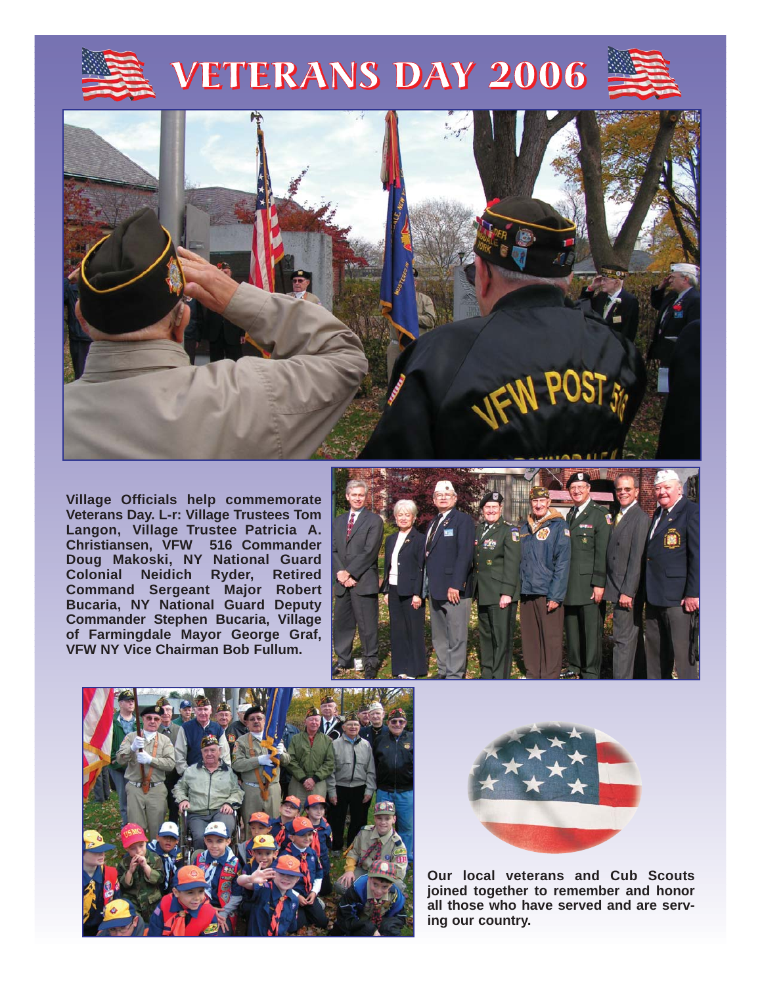

# VETERANS DAY 2006



**Village Officials help commemorate Veterans Day. L-r: Village Trustees Tom Langon, Village Trustee Patricia A. Christiansen, VFW 516 Commander Doug Makoski, NY National Guard Colonial Neidich Ryder, Retired Command Sergeant Major Robert Bucaria, NY National Guard Deputy Commander Stephen Bucaria, Village of Farmingdale Mayor George Graf, VFW NY Vice Chairman Bob Fullum.**







**Our local veterans and Cub Scouts joined together to remember and honor all those who have served and are serving our country.**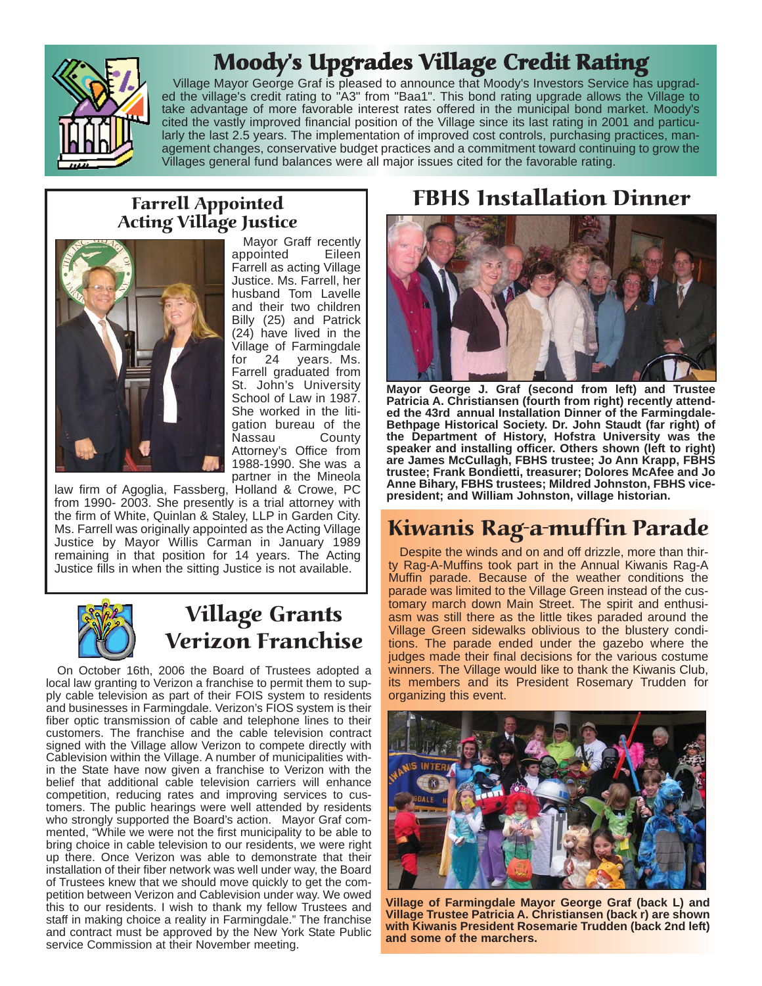

### Moody's Upgrades Village Credit Rating

Village Mayor George Graf is pleased to announce that Moody's Investors Service has upgraded the village's credit rating to "A3" from "Baa1". This bond rating upgrade allows the Village to take advantage of more favorable interest rates offered in the municipal bond market. Moody's cited the vastly improved financial position of the Village since its last rating in 2001 and particularly the last 2.5 years. The implementation of improved cost controls, purchasing practices, management changes, conservative budget practices and a commitment toward continuing to grow the Villages general fund balances were all major issues cited for the favorable rating.

#### Farrell Appointed Acting Village Justice



Mayor Graff recently appointed Eileen Farrell as acting Village Justice. Ms. Farrell, her husband Tom Lavelle and their two children Billy (25) and Patrick (24) have lived in the Village of Farmingdale for 24 years. Ms. Farrell graduated from St. John's University School of Law in 1987. She worked in the litigation bureau of the Nassau County Attorney's Office from 1988-1990. She was a partner in the Mineola

law firm of Agoglia, Fassberg, Holland & Crowe, PC from 1990- 2003. She presently is a trial attorney with the firm of White, Quinlan & Staley, LLP in Garden City. Ms. Farrell was originally appointed as the Acting Village Justice by Mayor Willis Carman in January 1989 remaining in that position for 14 years. The Acting Justice fills in when the sitting Justice is not available.



#### Village Grants Verizon Franchise

On October 16th, 2006 the Board of Trustees adopted a local law granting to Verizon a franchise to permit them to supply cable television as part of their FOIS system to residents and businesses in Farmingdale. Verizon's FIOS system is their fiber optic transmission of cable and telephone lines to their customers. The franchise and the cable television contract signed with the Village allow Verizon to compete directly with Cablevision within the Village. A number of municipalities within the State have now given a franchise to Verizon with the belief that additional cable television carriers will enhance competition, reducing rates and improving services to customers. The public hearings were well attended by residents who strongly supported the Board's action. Mayor Graf commented, "While we were not the first municipality to be able to bring choice in cable television to our residents, we were right up there. Once Verizon was able to demonstrate that their installation of their fiber network was well under way, the Board of Trustees knew that we should move quickly to get the competition between Verizon and Cablevision under way. We owed this to our residents. I wish to thank my fellow Trustees and staff in making choice a reality in Farmingdale." The franchise and contract must be approved by the New York State Public service Commission at their November meeting.

#### FBHS Installation Dinner



**Mayor George J. Graf (second from left) and Trustee Patricia A. Christiansen (fourth from right) recently attended the 43rd annual Installation Dinner of the Farmingdale-Bethpage Historical Society. Dr. John Staudt (far right) of the Department of History, Hofstra University was the speaker and installing officer. Others shown (left to right) are James McCullagh, FBHS trustee; Jo Ann Krapp, FBHS trustee; Frank Bondietti, treasurer; Dolores McAfee and Jo Anne Bihary, FBHS trustees; Mildred Johnston, FBHS vicepresident; and William Johnston, village historian.**

### Kiwanis Rag-a-muffin Parade

Despite the winds and on and off drizzle, more than thirty Rag-A-Muffins took part in the Annual Kiwanis Rag-A Muffin parade. Because of the weather conditions the parade was limited to the Village Green instead of the customary march down Main Street. The spirit and enthusiasm was still there as the little tikes paraded around the Village Green sidewalks oblivious to the blustery conditions. The parade ended under the gazebo where the judges made their final decisions for the various costume winners. The Village would like to thank the Kiwanis Club, its members and its President Rosemary Trudden for organizing this event.



**Village of Farmingdale Mayor George Graf (back L) and Village Trustee Patricia A. Christiansen (back r) are shown with Kiwanis President Rosemarie Trudden (back 2nd left) and some of the marchers.**